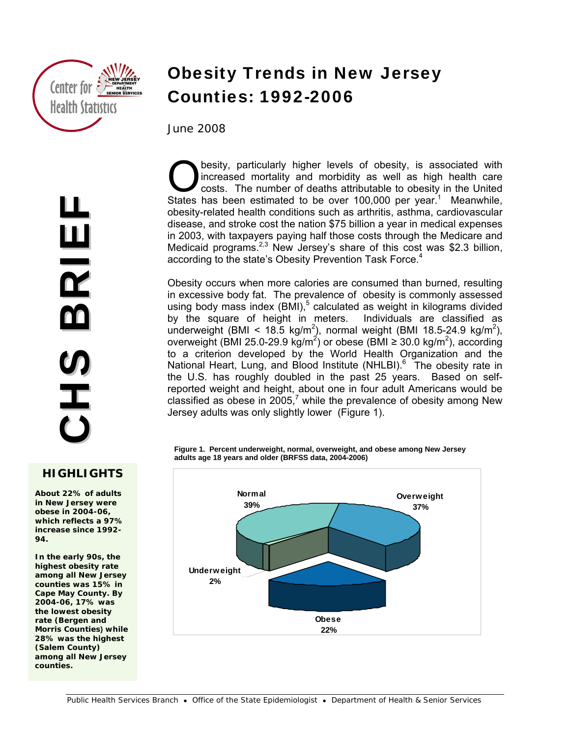

## **HIGHLIGHTS**

**About 22% of adults in New Jersey were obese in 2004-06, which reflects a 97% increase since 1992- 94.** 

**Methods In the early 90s, the highest obesity rate among all New Jersey counties was 15% in Cape May County. By 2004-06, 17% was the lowest obesity rate (Bergen and Morris Counties) while 28% was the highest (Salem County) among all New Jersey counties.** 

# Obesity Trends in New Jersey Counties: 1992-2006

June 2008

besity, particularly higher levels of obesity, is associated with increased mortality and morbidity as well as high health care costs. The number of deaths attributable to obesity in the United **States has been estimated to be over 100,000 per year.**<sup>1</sup> Meanwhile, States has been estimated to be over 100,000 per year.<sup>1</sup> Meanwhile, obesity-related health conditions such as arthritis, asthma, cardiovascular disease, and stroke cost the nation \$75 billion a year in medical expenses in 2003, with taxpayers paying half those costs through the Medicare and Medicaid programs.<sup>2,3</sup> New Jersey's share of this cost was \$2.3 billion, according to the state's Obesity Prevention Task Force.<sup>4</sup>

Obesity occurs when more calories are consumed than burned, resulting in excessive body fat. The prevalence of obesity is commonly assessed using body mass index  $(BMI)$ ,<sup>5</sup> calculated as weight in kilograms divided by the square of height in meters. Individuals are classified as underweight (BMI <  $18.5 \text{ kg/m}^2$ ), normal weight (BMI 18.5-24.9 kg/m<sup>2</sup>), overweight (BMI 25.0-29.9 kg/m<sup>2</sup>) or obese (BMI  $\geq$  30.0 kg/m<sup>2</sup>), according to a criterion developed by the World Health Organization and the National Heart, Lung, and Blood Institute (NHLBI).<sup>6</sup> The obesity rate in the U.S. has roughly doubled in the past 25 years. Based on selfreported weight and height, about one in four adult Americans would be classified as obese in 2005,<sup>7</sup> while the prevalence of obesity among New Jersey adults was only slightly lower (Figure 1).

**Figure 1. Percent underweight, normal, overweight, and obese among New Jersey adults age 18 years and older (BRFSS data, 2004-2006)** 

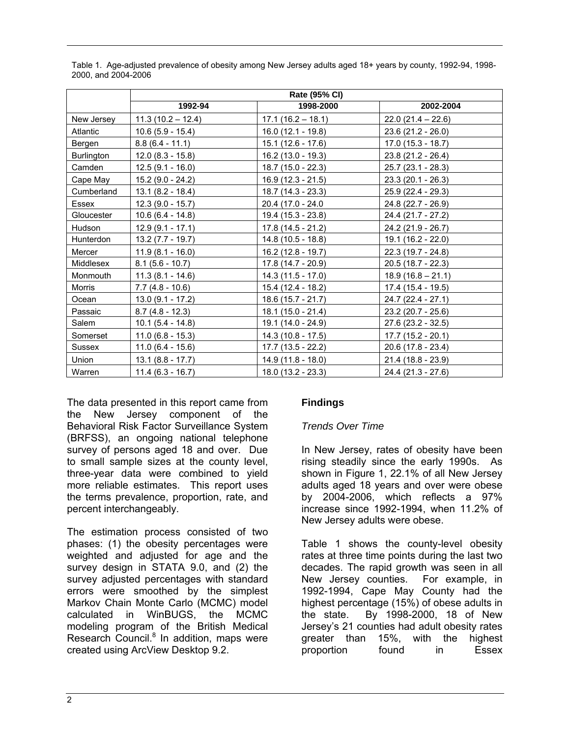|                   | Rate (95% CI)       |                     |                     |
|-------------------|---------------------|---------------------|---------------------|
|                   | 1992-94             | 1998-2000           | 2002-2004           |
| New Jersey        | $11.3(10.2 - 12.4)$ | $17.1(16.2 - 18.1)$ | $22.0(21.4 - 22.6)$ |
| Atlantic          | $10.6(5.9 - 15.4)$  | $16.0(12.1 - 19.8)$ | $23.6(21.2 - 26.0)$ |
| Bergen            | $8.8(6.4 - 11.1)$   | $15.1(12.6 - 17.6)$ | $17.0(15.3 - 18.7)$ |
| <b>Burlington</b> | $12.0 (8.3 - 15.8)$ | $16.2(13.0 - 19.3)$ | 23.8 (21.2 - 26.4)  |
| Camden            | $12.5(9.1 - 16.0)$  | 18.7 (15.0 - 22.3)  | 25.7 (23.1 - 28.3)  |
| Cape May          | $15.2$ (9.0 - 24.2) | $16.9(12.3 - 21.5)$ | $23.3(20.1 - 26.3)$ |
| Cumberland        | $13.1(8.2 - 18.4)$  | 18.7 (14.3 - 23.3)  | 25.9 (22.4 - 29.3)  |
| Essex             | $12.3(9.0 - 15.7)$  | 20.4 (17.0 - 24.0   | 24.8 (22.7 - 26.9)  |
| Gloucester        | $10.6(6.4 - 14.8)$  | 19.4 (15.3 - 23.8)  | 24.4 (21.7 - 27.2)  |
| <b>Hudson</b>     | $12.9(9.1 - 17.1)$  | $17.8(14.5 - 21.2)$ | 24.2 (21.9 - 26.7)  |
| Hunterdon         | $13.2 (7.7 - 19.7)$ | 14.8 (10.5 - 18.8)  | $19.1(16.2 - 22.0)$ |
| Mercer            | $11.9(8.1 - 16.0)$  | $16.2(12.8 - 19.7)$ | 22.3 (19.7 - 24.8)  |
| Middlesex         | $8.1(5.6 - 10.7)$   | $17.8(14.7 - 20.9)$ | 20.5 (18.7 - 22.3)  |
| Monmouth          | $11.3(8.1 - 14.6)$  | $14.3(11.5 - 17.0)$ | $18.9(16.8 - 21.1)$ |
| Morris            | $7.7(4.8 - 10.6)$   | 15.4 (12.4 - 18.2)  | 17.4 (15.4 - 19.5)  |
| Ocean             | $13.0(9.1 - 17.2)$  | $18.6(15.7 - 21.7)$ | 24.7 (22.4 - 27.1)  |
| Passaic           | $8.7(4.8 - 12.3)$   | $18.1(15.0 - 21.4)$ | 23.2 (20.7 - 25.6)  |
| Salem             | $10.1 (5.4 - 14.8)$ | 19.1 (14.0 - 24.9)  | 27.6 (23.2 - 32.5)  |
| Somerset          | $11.0(6.8 - 15.3)$  | $14.3(10.8 - 17.5)$ | $17.7(15.2 - 20.1)$ |
| <b>Sussex</b>     | $11.0(6.4 - 15.6)$  | $17.7(13.5 - 22.2)$ | 20.6 (17.8 - 23.4)  |
| Union             | $13.1 (8.8 - 17.7)$ | $14.9(11.8 - 18.0)$ | 21.4 (18.8 - 23.9)  |
| Warren            | $11.4(6.3 - 16.7)$  | $18.0(13.2 - 23.3)$ | 24.4 (21.3 - 27.6)  |

Table 1. Age-adjusted prevalence of obesity among New Jersey adults aged 18+ years by county, 1992-94, 1998- 2000, and 2004-2006

The data presented in this report came from the New Jersey component of the Behavioral Risk Factor Surveillance System (BRFSS), an ongoing national telephone survey of persons aged 18 and over. Due to small sample sizes at the county level, three-year data were combined to yield more reliable estimates. This report uses the terms prevalence, proportion, rate, and percent interchangeably.

The estimation process consisted of two phases: (1) the obesity percentages were weighted and adjusted for age and the survey design in STATA 9.0, and (2) the survey adjusted percentages with standard errors were smoothed by the simplest Markov Chain Monte Carlo (MCMC) model calculated in WinBUGS, the MCMC modeling program of the British Medical Research Council.<sup>8</sup> In addition, maps were created using ArcView Desktop 9.2.

# **Findings**

## *Trends Over Time*

In New Jersey, rates of obesity have been rising steadily since the early 1990s. As shown in Figure 1, 22.1% of all New Jersey adults aged 18 years and over were obese by 2004-2006, which reflects a 97% increase since 1992-1994, when 11.2% of New Jersey adults were obese.

Table 1 shows the county-level obesity rates at three time points during the last two decades. The rapid growth was seen in all New Jersey counties. For example, in 1992-1994, Cape May County had the highest percentage (15%) of obese adults in the state. By 1998-2000, 18 of New Jersey's 21 counties had adult obesity rates greater than 15%, with the highest proportion found in Essex

l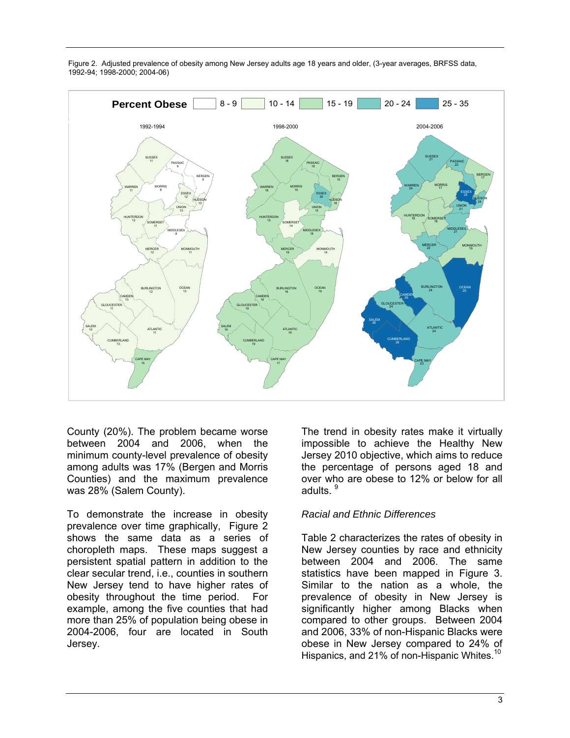

Figure 2. Adjusted prevalence of obesity among New Jersey adults age 18 years and older, (3-year averages, BRFSS data, 1992-94; 1998-2000; 2004-06)

County (20%). The problem became worse between 2004 and 2006, when the minimum county-level prevalence of obesity among adults was 17% (Bergen and Morris Counties) and the maximum prevalence was 28% (Salem County).

To demonstrate the increase in obesity prevalence over time graphically, Figure 2 shows the same data as a series of choropleth maps. These maps suggest a persistent spatial pattern in addition to the clear secular trend, i.e., counties in southern New Jersey tend to have higher rates of obesity throughout the time period. For example, among the five counties that had more than 25% of population being obese in 2004-2006, four are located in South Jersey.

The trend in obesity rates make it virtually impossible to achieve the Healthy New Jersey 2010 objective, which aims to reduce the percentage of persons aged 18 and over who are obese to 12% or below for all adults.  $^9$ 

#### *Racial and Ethnic Differences*

Table 2 characterizes the rates of obesity in New Jersey counties by race and ethnicity between 2004 and 2006. The same statistics have been mapped in Figure 3. Similar to the nation as a whole, the prevalence of obesity in New Jersey is significantly higher among Blacks when compared to other groups. Between 2004 and 2006, 33% of non-Hispanic Blacks were obese in New Jersey compared to 24% of Hispanics, and 21% of non-Hispanic Whites.<sup>10</sup>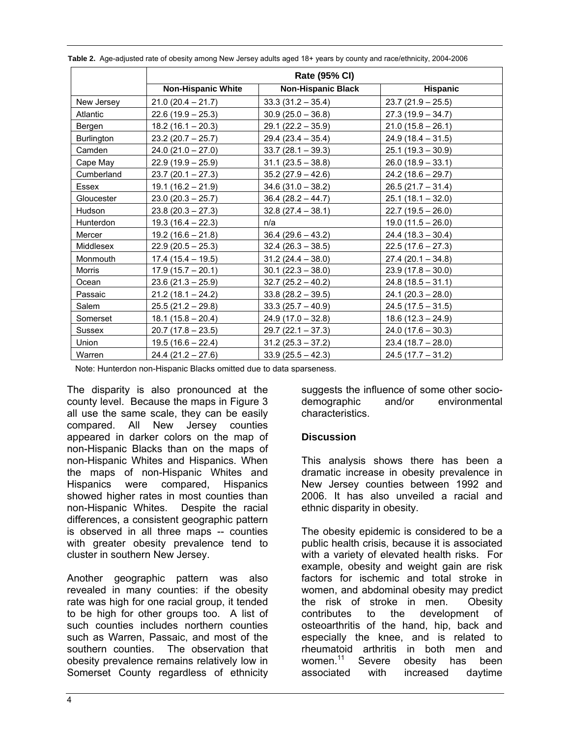|                   | Rate (95% CI)             |                           |                      |
|-------------------|---------------------------|---------------------------|----------------------|
|                   | <b>Non-Hispanic White</b> | <b>Non-Hispanic Black</b> | <b>Hispanic</b>      |
| New Jersey        | $21.0(20.4 - 21.7)$       | $33.3(31.2 - 35.4)$       | $23.7(21.9 - 25.5)$  |
| Atlantic          | $22.6(19.9 - 25.3)$       | $30.9(25.0 - 36.8)$       | $27.3(19.9 - 34.7)$  |
| Bergen            | $18.2(16.1 - 20.3)$       | $29.1 (22.2 - 35.9)$      | $21.0(15.8 - 26.1)$  |
| <b>Burlington</b> | $23.2(20.7 - 25.7)$       | $29.4(23.4 - 35.4)$       | $24.9(18.4 - 31.5)$  |
| Camden            | $24.0(21.0 - 27.0)$       | $33.7(28.1 - 39.3)$       | $25.1(19.3 - 30.9)$  |
| Cape May          | $22.9(19.9 - 25.9)$       | $31.1(23.5 - 38.8)$       | $26.0(18.9 - 33.1)$  |
| Cumberland        | $23.7(20.1 - 27.3)$       | $35.2(27.9 - 42.6)$       | $24.2(18.6 - 29.7)$  |
| Essex             | $19.1(16.2 - 21.9)$       | $34.6(31.0 - 38.2)$       | $26.5(21.7 - 31.4)$  |
| Gloucester        | $23.0(20.3 - 25.7)$       | $36.4 (28.2 - 44.7)$      | $25.1(18.1 - 32.0)$  |
| Hudson            | $23.8(20.3 - 27.3)$       | $32.8(27.4 - 38.1)$       | $22.7(19.5 - 26.0)$  |
| Hunterdon         | $19.3(16.4 - 22.3)$       | n/a                       | $19.0(11.5 - 26.0)$  |
| Mercer            | $19.2(16.6 - 21.8)$       | $36.4(29.6 - 43.2)$       | $24.4(18.3 - 30.4)$  |
| Middlesex         | $22.9(20.5 - 25.3)$       | $32.4 (26.3 - 38.5)$      | $22.5(17.6 - 27.3)$  |
| Monmouth          | $17.4(15.4 - 19.5)$       | $31.2(24.4 - 38.0)$       | $27.4(20.1 - 34.8)$  |
| Morris            | $17.9(15.7 - 20.1)$       | $30.1 (22.3 - 38.0)$      | $23.9(17.8 - 30.0)$  |
| Ocean             | $23.6(21.3 - 25.9)$       | $32.7(25.2 - 40.2)$       | $24.8(18.5 - 31.1)$  |
| Passaic           | $21.2(18.1 - 24.2)$       | $33.8(28.2 - 39.5)$       | $24.1 (20.3 - 28.0)$ |
| Salem             | $25.5(21.2 - 29.8)$       | $33.3(25.7 - 40.9)$       | $24.5(17.5 - 31.5)$  |
| Somerset          | $18.1(15.8 - 20.4)$       | $24.9(17.0 - 32.8)$       | $18.6(12.3 - 24.9)$  |
| <b>Sussex</b>     | $20.7(17.8 - 23.5)$       | $29.7(22.1 - 37.3)$       | $24.0(17.6 - 30.3)$  |
| Union             | $19.5(16.6 - 22.4)$       | $31.2(25.3 - 37.2)$       | $23.4(18.7 - 28.0)$  |
| Warren            | $24.4(21.2 - 27.6)$       | $33.9(25.5 - 42.3)$       | $24.5(17.7 - 31.2)$  |

**Table 2.** Age-adjusted rate of obesity among New Jersey adults aged 18+ years by county and race/ethnicity, 2004-2006

Note: Hunterdon non-Hispanic Blacks omitted due to data sparseness.

The disparity is also pronounced at the county level. Because the maps in Figure 3 all use the same scale, they can be easily compared. All New Jersey counties appeared in darker colors on the map of non-Hispanic Blacks than on the maps of non-Hispanic Whites and Hispanics. When the maps of non-Hispanic Whites and Hispanics were compared, Hispanics showed higher rates in most counties than non-Hispanic Whites. Despite the racial differences, a consistent geographic pattern is observed in all three maps -- counties with greater obesity prevalence tend to cluster in southern New Jersey.

Another geographic pattern was also revealed in many counties: if the obesity rate was high for one racial group, it tended to be high for other groups too. A list of such counties includes northern counties such as Warren, Passaic, and most of the southern counties. The observation that obesity prevalence remains relatively low in Somerset County regardless of ethnicity

suggests the influence of some other sociodemographic and/or environmental characteristics.

#### **Discussion**

This analysis shows there has been a dramatic increase in obesity prevalence in New Jersey counties between 1992 and 2006. It has also unveiled a racial and ethnic disparity in obesity.

The obesity epidemic is considered to be a public health crisis, because it is associated with a variety of elevated health risks. For example, obesity and weight gain are risk factors for ischemic and total stroke in women, and abdominal obesity may predict the risk of stroke in men. Obesity contributes to the development of osteoarthritis of the hand, hip, back and especially the knee, and is related to rheumatoid arthritis in both men and women.<sup>11</sup> Severe obesity has been associated with increased daytime

l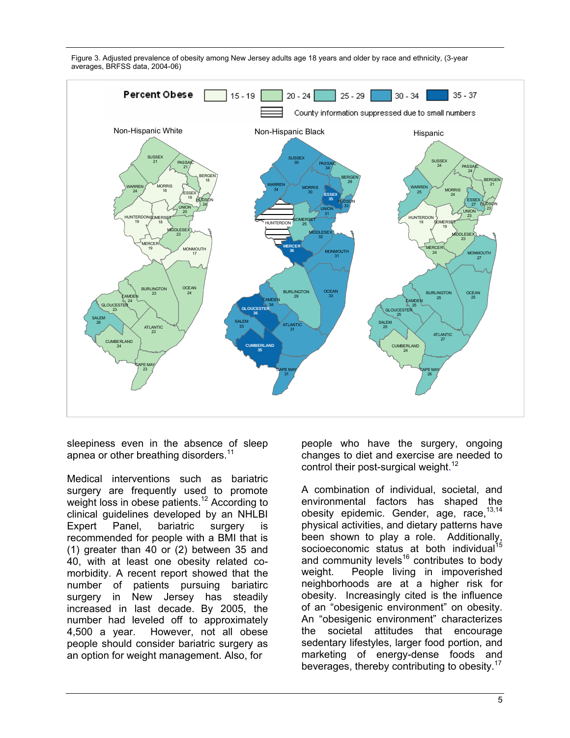



sleepiness even in the absence of sleep apnea or other breathing disorders.<sup>11</sup>

Medical interventions such as bariatric surgery are frequently used to promote weight loss in obese patients.<sup>12</sup> According to clinical guidelines developed by an NHLBI Expert Panel, bariatric surgery is recommended for people with a BMI that is (1) greater than 40 or (2) between 35 and 40, with at least one obesity related comorbidity. A recent report showed that the number of patients pursuing bariatirc surgery in New Jersey has steadily increased in last decade. By 2005, the number had leveled off to approximately 4,500 a year. However, not all obese people should consider bariatric surgery as an option for weight management. Also, for

people who have the surgery, ongoing changes to diet and exercise are needed to control their post-surgical weight.<sup>12</sup>

A combination of individual, societal, and environmental factors has shaped the obesity epidemic. Gender, age, race,  $13,14$ physical activities, and dietary patterns have priysical activities, and also get a distributionally, been shown to play a role. Additionally, socioeconomic status at both individual<sup>15</sup> and community levels $16$  contributes to body weight. People living in impoverished neighborhoods are at a higher risk for obesity. Increasingly cited is the influence of an "obesigenic environment" on obesity. An "obesigenic environment" characterizes the societal attitudes that encourage sedentary lifestyles, larger food portion, and marketing of energy-dense foods and beverages, thereby contributing to obesity.17